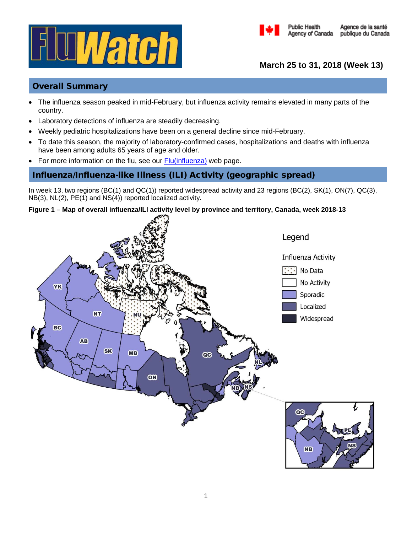



**March 25 to 31, 2018 (Week 13)**

# Overall Summary

- The influenza season peaked in mid-February, but influenza activity remains elevated in many parts of the country.
- Laboratory detections of influenza are steadily decreasing.
- Weekly pediatric hospitalizations have been on a general decline since mid-February.
- To date this season, the majority of laboratory-confirmed cases, hospitalizations and deaths with influenza have been among adults 65 years of age and older.
- For more information on the flu, see our [Flu\(influenza\)](http://healthycanadians.gc.ca/diseases-conditions-maladies-affections/disease-maladie/flu-grippe/index-eng.php) web page.

# Influenza/Influenza-like Illness (ILI) Activity (geographic spread)

In week 13, two regions (BC(1) and QC(1)) reported widespread activity and 23 regions (BC(2), SK(1), ON(7), QC(3), NB(3), NL(2), PE(1) and NS(4)) reported localized activity.

## **Figure 1 – Map of overall influenza/ILI activity level by province and territory, Canada, week 2018-13**

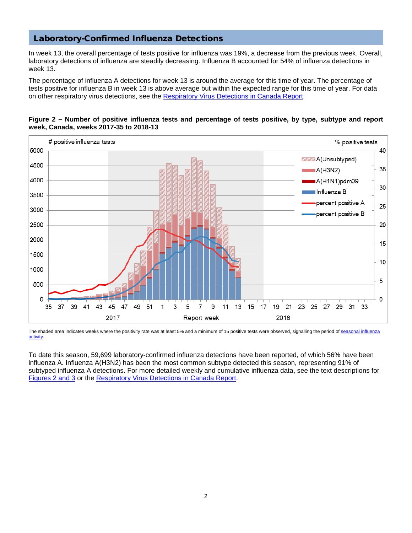# Laboratory-Confirmed Influenza Detections

In week 13, the overall percentage of tests positive for influenza was 19%, a decrease from the previous week. Overall, laboratory detections of influenza are steadily decreasing. Influenza B accounted for 54% of influenza detections in week 13.

The percentage of influenza A detections for week 13 is around the average for this time of year. The percentage of tests positive for influenza B in week 13 is above average but within the expected range for this time of year. For data on other respiratory virus detections, see the [Respiratory Virus Detections in Canada Report.](https://www.canada.ca/en/public-health/services/surveillance/respiratory-virus-detections-canada.html)



## **Figure 2 – Number of positive influenza tests and percentage of tests positive, by type, subtype and report week, Canada, weeks 2017-35 to 2018-13**

The shaded area indicates weeks where the positivity rate was at least 5% and a minimum of 15 positive tests were observed, signalling the period o[f seasonal influenza](http://journals.plos.org/plosone/article?id=10.1371/journal.pone.0141776) [activity.](http://journals.plos.org/plosone/article?id=10.1371/journal.pone.0141776)

To date this season, 59,699 laboratory-confirmed influenza detections have been reported, of which 56% have been influenza A. Influenza A(H3N2) has been the most common subtype detected this season, representing 91% of subtyped influenza A detections. For more detailed weekly and cumulative influenza data, see the text descriptions for Figures [2 and 3](https://www.canada.ca/en/public-health/services/diseases/flu-influenza/influenza-surveillance/weekly-influenza-reports.html) or the [Respiratory Virus Detections in Canada Report.](https://www.canada.ca/en/public-health/services/surveillance/respiratory-virus-detections-canada.html)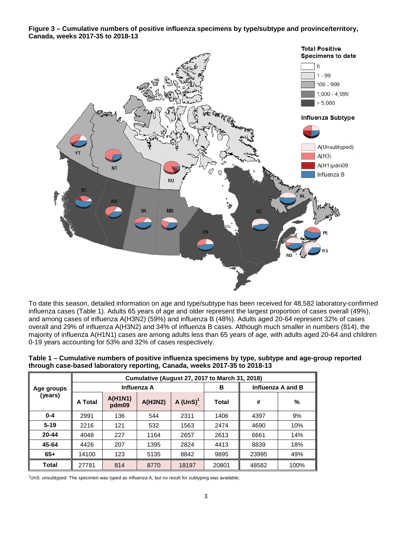**Figure 3 – Cumulative numbers of positive influenza specimens by type/subtype and province/territory, Canada, weeks 2017-35 to 2018-13**



To date this season, detailed information on age and type/subtype has been received for 48,582 laboratory-confirmed influenza cases (Table 1). Adults 65 years of age and older represent the largest proportion of cases overall (49%), and among cases of influenza A(H3N2) (59%) and influenza B (48%). Adults aged 20-64 represent 32% of cases overall and 29% of influenza A(H3N2) and 34% of influenza B cases. Although much smaller in numbers (814), the majority of influenza A(H1N1) cases are among adults less than 65 years of age, with adults aged 20-64 and children 0-19 years accounting for 53% and 32% of cases respectively.

**Table 1 – Cumulative numbers of positive influenza specimens by type, subtype and age-group reported through case-based laboratory reporting, Canada, weeks 2017-35 to 2018-13**

|                       | <b>Cumulative (August 27, 2017 to March 31, 2018)</b> |                         |         |            |       |                   |      |  |
|-----------------------|-------------------------------------------------------|-------------------------|---------|------------|-------|-------------------|------|--|
| Age groups<br>(years) | Influenza A                                           |                         |         |            | в     | Influenza A and B |      |  |
|                       | A Total                                               | <b>A(H1N1)</b><br>pdm09 | A(H3N2) | A $(UnS)1$ | Total | #                 | %    |  |
| $0 - 4$               | 2991                                                  | 136                     | 544     | 2311       | 1406  | 4397              | 9%   |  |
| $5 - 19$              | 2216                                                  | 121                     | 532     | 1563       | 2474  | 4690              | 10%  |  |
| 20-44                 | 4048                                                  | 227                     | 1164    | 2657       | 2613  | 6661              | 14%  |  |
| 45-64                 | 4426                                                  | 207                     | 1395    | 2824       | 4413  | 8839              | 18%  |  |
| $65+$                 | 14100                                                 | 123                     | 5135    | 8842       | 9895  | 23995             | 49%  |  |
| <b>Total</b>          | 27781                                                 | 814                     | 8770    | 18197      | 20801 | 48582             | 100% |  |

1 UnS: unsubtyped: The specimen was typed as influenza A, but no result for subtyping was available;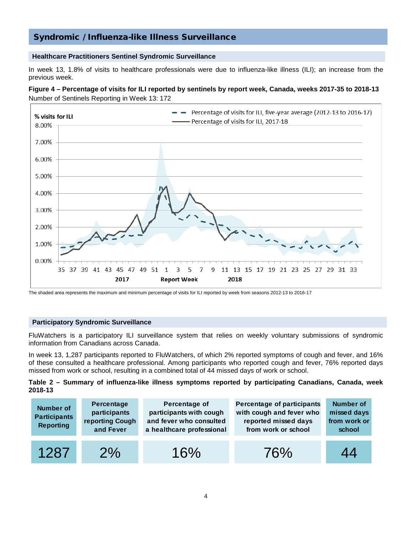# Syndromic / Influenza-like Illness Surveillance

### **Healthcare Practitioners Sentinel Syndromic Surveillance**

In week 13, 1.8% of visits to healthcare professionals were due to influenza-like illness (ILI); an increase from the previous week.

### **Figure 4 – Percentage of visits for ILI reported by sentinels by report week, Canada, weeks 2017-35 to 2018-13** Number of Sentinels Reporting in Week 13: 172



The shaded area represents the maximum and minimum percentage of visits for ILI reported by week from seasons 2012-13 to 2016-17

### **Participatory Syndromic Surveillance**

FluWatchers is a participatory ILI surveillance system that relies on weekly voluntary submissions of syndromic information from Canadians across Canada.

In week 13, 1,287 participants reported to FluWatchers, of which 2% reported symptoms of cough and fever, and 16% of these consulted a healthcare professional. Among participants who reported cough and fever, 76% reported days missed from work or school, resulting in a combined total of 44 missed days of work or school.

### **Table 2 – Summary of influenza-like illness symptoms reported by participating Canadians, Canada, week 2018-13**

| <b>Number of</b><br><b>Participants</b><br><b>Reporting</b> | Percentage<br>participants<br>reporting Cough<br>and Fever | Percentage of<br>participants with cough<br>and fever who consulted<br>a healthcare professional | Percentage of participants<br>with cough and fever who<br>reported missed days<br>from work or school | <b>Number of</b><br>missed days<br>from work or<br>school |
|-------------------------------------------------------------|------------------------------------------------------------|--------------------------------------------------------------------------------------------------|-------------------------------------------------------------------------------------------------------|-----------------------------------------------------------|
| 1287                                                        | 2%                                                         | 16%                                                                                              | 76%                                                                                                   | 44                                                        |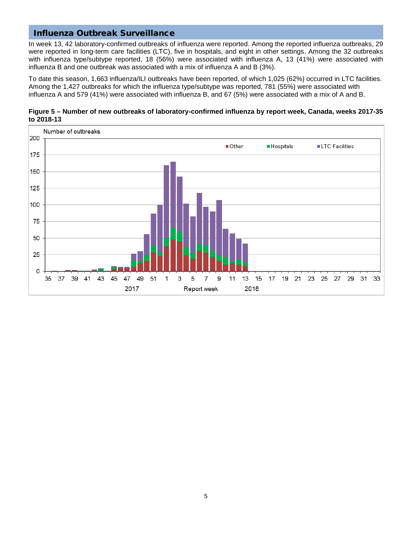# Influenza Outbreak Surveillance

In week 13, 42 laboratory-confirmed outbreaks of influenza were reported. Among the reported influenza outbreaks, 29 were reported in long-term care facilities (LTC), five in hospitals, and eight in other settings. Among the 32 outbreaks with influenza type/subtype reported, 18 (56%) were associated with influenza A, 13 (41%) were associated with influenza B and one outbreak was associated with a mix of influenza A and B (3%).

To date this season, 1,663 influenza/ILI outbreaks have been reported, of which 1,025 (62%) occurred in LTC facilities. Among the 1,427 outbreaks for which the influenza type/subtype was reported, 781 (55%) were associated with influenza A and 579 (41%) were associated with influenza B, and 67 (5%) were associated with a mix of A and B.



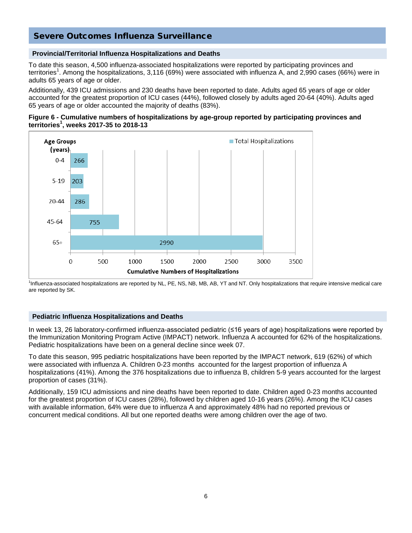# Severe Outcomes Influenza Surveillance

## **Provincial/Territorial Influenza Hospitalizations and Deaths**

To date this season, 4,500 influenza-associated hospitalizations were reported by participating provinces and territories<sup>1</sup>. Among the hospitalizations, 3,116 (69%) were associated with influenza A, and 2,990 cases (66%) were in adults 65 years of age or older.

Additionally, 439 ICU admissions and 230 deaths have been reported to date. Adults aged 65 years of age or older accounted for the greatest proportion of ICU cases (44%), followed closely by adults aged 20-64 (40%). Adults aged 65 years of age or older accounted the majority of deaths (83%).





1 Influenza-associated hospitalizations are reported by NL, PE, NS, NB, MB, AB, YT and NT. Only hospitalizations that require intensive medical care are reported by SK.

### **Pediatric Influenza Hospitalizations and Deaths**

In week 13, 26 laboratory-confirmed influenza-associated pediatric (≤16 years of age) hospitalizations were reported by the Immunization Monitoring Program Active (IMPACT) network. Influenza A accounted for 62% of the hospitalizations. Pediatric hospitalizations have been on a general decline since week 07.

To date this season, 995 pediatric hospitalizations have been reported by the IMPACT network, 619 (62%) of which were associated with influenza A. Children 0-23 months accounted for the largest proportion of influenza A hospitalizations (41%). Among the 376 hospitalizations due to influenza B, children 5-9 years accounted for the largest proportion of cases (31%).

Additionally, 159 ICU admissions and nine deaths have been reported to date. Children aged 0-23 months accounted for the greatest proportion of ICU cases (28%), followed by children aged 10-16 years (26%). Among the ICU cases with available information, 64% were due to influenza A and approximately 48% had no reported previous or concurrent medical conditions. All but one reported deaths were among children over the age of two.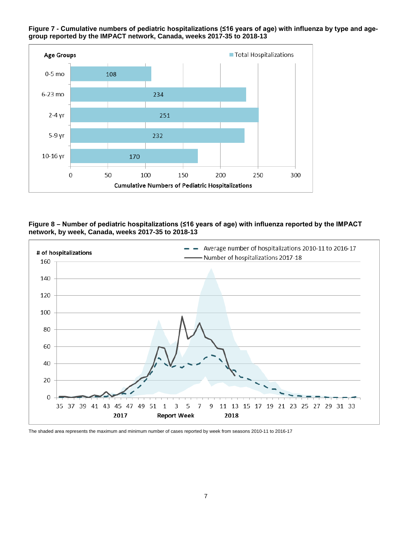

## **Figure 7 - Cumulative numbers of pediatric hospitalizations (≤16 years of age) with influenza by type and agegroup reported by the IMPACT network, Canada, weeks 2017-35 to 2018-13**





The shaded area represents the maximum and minimum number of cases reported by week from seasons 2010-11 to 2016-17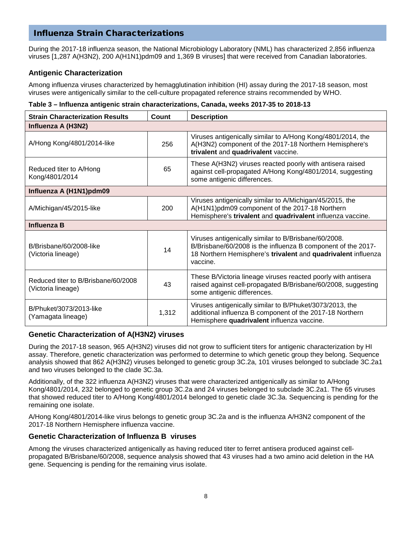# Influenza Strain Characterizations

During the 2017-18 influenza season, the National Microbiology Laboratory (NML) has characterized 2,856 influenza viruses [1,287 A(H3N2), 200 A(H1N1)pdm09 and 1,369 B viruses] that were received from Canadian laboratories.

## **Antigenic Characterization**

Among influenza viruses characterized by hemagglutination inhibition (HI) assay during the 2017-18 season, most viruses were antigenically similar to the cell-culture propagated reference strains recommended by WHO.

## **Table 3 – Influenza antigenic strain characterizations, Canada, weeks 2017-35 to 2018-13**

| <b>Strain Characterization Results</b>                    | Count | <b>Description</b>                                                                                                                                                                                |  |
|-----------------------------------------------------------|-------|---------------------------------------------------------------------------------------------------------------------------------------------------------------------------------------------------|--|
| Influenza A (H3N2)                                        |       |                                                                                                                                                                                                   |  |
| A/Hong Kong/4801/2014-like                                | 256   | Viruses antigenically similar to A/Hong Kong/4801/2014, the<br>A(H3N2) component of the 2017-18 Northern Hemisphere's<br>trivalent and quadrivalent vaccine.                                      |  |
| Reduced titer to A/Hong<br>Kong/4801/2014                 | 65    | These A(H3N2) viruses reacted poorly with antisera raised<br>against cell-propagated A/Hong Kong/4801/2014, suggesting<br>some antigenic differences.                                             |  |
| Influenza A (H1N1)pdm09                                   |       |                                                                                                                                                                                                   |  |
| A/Michigan/45/2015-like                                   | 200   | Viruses antigenically similar to A/Michigan/45/2015, the<br>A(H1N1)pdm09 component of the 2017-18 Northern<br>Hemisphere's trivalent and quadrivalent influenza vaccine.                          |  |
| <b>Influenza B</b>                                        |       |                                                                                                                                                                                                   |  |
| B/Brisbane/60/2008-like<br>(Victoria lineage)             | 14    | Viruses antigenically similar to B/Brisbane/60/2008.<br>B/Brisbane/60/2008 is the influenza B component of the 2017-<br>18 Northern Hemisphere's trivalent and quadrivalent influenza<br>vaccine. |  |
| Reduced titer to B/Brisbane/60/2008<br>(Victoria lineage) | 43    | These B/Victoria lineage viruses reacted poorly with antisera<br>raised against cell-propagated B/Brisbane/60/2008, suggesting<br>some antigenic differences.                                     |  |
| B/Phuket/3073/2013-like<br>(Yamagata lineage)             | 1,312 | Viruses antigenically similar to B/Phuket/3073/2013, the<br>additional influenza B component of the 2017-18 Northern<br>Hemisphere quadrivalent influenza vaccine.                                |  |

## **Genetic Characterization of A(H3N2) viruses**

During the 2017-18 season, 965 A(H3N2) viruses did not grow to sufficient titers for antigenic characterization by HI assay. Therefore, genetic characterization was performed to determine to which genetic group they belong. Sequence analysis showed that 862 A(H3N2) viruses belonged to genetic group 3C.2a, 101 viruses belonged to subclade 3C.2a1 and two viruses belonged to the clade 3C.3a.

Additionally, of the 322 influenza A(H3N2) viruses that were characterized antigenically as similar to A/Hong Kong/4801/2014, 232 belonged to genetic group 3C.2a and 24 viruses belonged to subclade 3C.2a1. The 65 viruses that showed reduced titer to A/Hong Kong/4801/2014 belonged to genetic clade 3C.3a. Sequencing is pending for the remaining one isolate.

A/Hong Kong/4801/2014-like virus belongs to genetic group 3C.2a and is the influenza A/H3N2 component of the 2017-18 Northern Hemisphere influenza vaccine.

## **Genetic Characterization of Influenza B viruses**

Among the viruses characterized antigenically as having reduced titer to ferret antisera produced against cellpropagated B/Brisbane/60/2008, sequence analysis showed that 43 viruses had a two amino acid deletion in the HA gene. Sequencing is pending for the remaining virus isolate.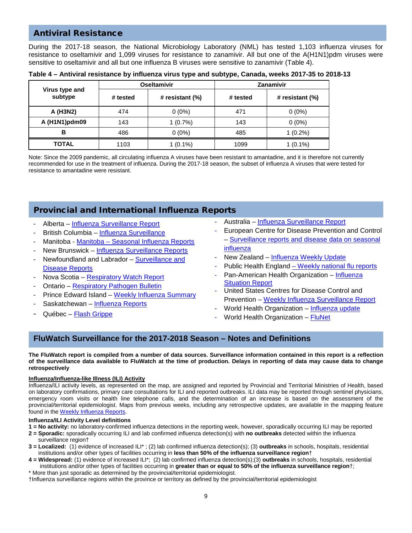# Antiviral Resistance

During the 2017-18 season, the National Microbiology Laboratory (NML) has tested 1,103 influenza viruses for resistance to oseltamivir and 1,099 viruses for resistance to zanamivir. All but one of the A(H1N1)pdm viruses were sensitive to oseltamivir and all but one influenza B viruses were sensitive to zanamivir (Table 4).

| Table 4 – Antiviral resistance by influenza virus type and subtype, Canada, weeks 2017-35 to 2018-13 |  |
|------------------------------------------------------------------------------------------------------|--|
|------------------------------------------------------------------------------------------------------|--|

|                           |          | <b>Oseltamivir</b> | Zanamivir |                 |  |
|---------------------------|----------|--------------------|-----------|-----------------|--|
| Virus type and<br>subtype | # tested | # resistant (%)    | # tested  | # resistant (%) |  |
| A (H3N2)                  | 474      | $0(0\%)$           | 471       | $0(0\%)$        |  |
| A (H1N1)pdm09             | 143      | 1(0.7%)            | 143       | $0(0\%)$        |  |
| в                         | 486      | $0(0\%)$           | 485       | $1(0.2\%)$      |  |
| <b>TOTAL</b>              | 1103     | $1(0.1\%)$         | 1099      | $(0.1\%)$       |  |

Note: Since the 2009 pandemic, all circulating influenza A viruses have been resistant to amantadine, and it is therefore not currently recommended for use in the treatment of influenza. During the 2017-18 season, the subset of influenza A viruses that were tested for resistance to amantadine were resistant.

# Provincial and International Influenza Reports

- Alberta [Influenza Surveillance Report](http://www.health.alberta.ca/professionals/influenza-evidence.html)
- British Columbia [Influenza Surveillance](http://www.bccdc.ca/health-professionals/data-reports/influenza-surveillance-reports)
- Manitoba Manitoba [Seasonal Influenza Reports](http://www.gov.mb.ca/health/publichealth/surveillance/influenza/index.html)
- New Brunswick [Influenza Surveillance Reports](http://www2.gnb.ca/content/gnb/en/departments/ocmoh/cdc/content/influenza/influenza_surveillance_activities.html)
- Newfoundland and Labrador Surveillance and [Disease Reports](http://www.health.gov.nl.ca/health/publichealth/cdc/informationandsurveillance.html)
- Nova Scotia [Respiratory Watch Report](https://novascotia.ca/dhw/cdpc/respiratory-watch.asp)
- Ontario [Respiratory Pathogen Bulletin](https://www.publichealthontario.ca/en/ServicesAndTools/SurveillanceServices/Pages/Ontario-Respiratory-Virus-Bulletin.aspx)
- Prince Edward Island [Weekly Influenza Summary](https://www.princeedwardisland.ca/en/information/health-and-wellness/pei-weekly-influenza-summary-2017-2018-season)
- Saskatchewan [Influenza Reports](https://www.saskatchewan.ca/government/government-structure/ministries/health/other-reports/influenza-reports)
- Québec [Flash Grippe](http://publications.msss.gouv.qc.ca/msss/sujets/flash-grippe)
- Australia Influenza Surveillance Report
- European Centre for Disease Prevention and Control – [Surveillance reports and disease data on seasonal](https://ecdc.europa.eu/en/seasonal-influenza/surveillance-reports-and-disease-data)  [influenza](https://ecdc.europa.eu/en/seasonal-influenza/surveillance-reports-and-disease-data)
- New Zealand [Influenza Weekly Update](http://www.surv.esr.cri.nz/virology/influenza_weekly_update.php)
- Public Health England [Weekly national flu reports](https://www.gov.uk/government/statistics/weekly-national-flu-reports)
- Pan-American Health Organization [Influenza](http://www.paho.org/hq/index.php?option=com_content&view=article&id=3352%3A2010-influenza-situation-report&catid=2407%3Ainfluenza-other-respiratory-viruses&Itemid=2469&lang=en)  [Situation Report](http://www.paho.org/hq/index.php?option=com_content&view=article&id=3352%3A2010-influenza-situation-report&catid=2407%3Ainfluenza-other-respiratory-viruses&Itemid=2469&lang=en)
- United States Centres for Disease Control and Prevention – [Weekly Influenza Surveillance Report](http://www.cdc.gov/flu/weekly/index.htm)
- World Health Organization [Influenza update](http://www.who.int/influenza/surveillance_monitoring/updates/latest_update_GIP_surveillance/en/index.html)
- World Health Organization [FluNet](http://www.who.int/influenza/gisrs_laboratory/flunet/en/)

# **FluWatch Surveillance for the 2017-2018 Season – Notes and Definitions**

**The FluWatch report is compiled from a number of data sources. Surveillance information contained in this report is a reflection of the surveillance data available to FluWatch at the time of production. Delays in reporting of data may cause data to change retrospectively**

### **Influenza/Influenza-like Illness (ILI) Activity**

Influenza/ILI activity levels, as represented on the map, are assigned and reported by Provincial and Territorial Ministries of Health, based on laboratory confirmations, primary care consultations for ILI and reported outbreaks. ILI data may be reported through sentinel physicians, emergency room visits or health line telephone calls, and the determination of an increase is based on the assessment of the provincial/territorial epidemiologist. Maps from previous weeks, including any retrospective updates, are available in the mapping feature found in the [Weekly Influenza Reports.](http://diseases.canada.ca/flu-maps/?lang=e)

### **Influenza/ILI Activity Level definitions**

- **1 = No activity:** no laboratory-confirmed influenza detections in the reporting week, however, sporadically occurring ILI may be reported
- **2 = Sporadic:** sporadically occurring ILI and lab confirmed influenza detection(s) with **no outbreaks** detected within the influenza surveillance region†
- **3 = Localized:** (1) evidence of increased ILI\* ; (2) lab confirmed influenza detection(s); (3) **outbreaks** in schools, hospitals, residential institutions and/or other types of facilities occurring in **less than 50% of the influenza surveillance region**†
- **4 = Widespread:** (1) evidence of increased ILI\*; (2) lab confirmed influenza detection(s);(3) **outbreaks** in schools, hospitals, residential institutions and/or other types of facilities occurring in **greater than or equal to 50% of the influenza surveillance region**†; \* More than just sporadic as determined by the provincial/territorial epidemiologist.
- †Influenza surveillance regions within the province or territory as defined by the provincial/territorial epidemiologist